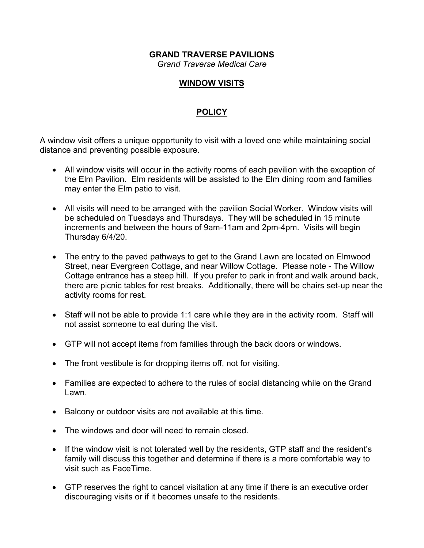#### **GRAND TRAVERSE PAVILIONS** *Grand Traverse Medical Care*

### **WINDOW VISITS**

## **POLICY**

A window visit offers a unique opportunity to visit with a loved one while maintaining social distance and preventing possible exposure.

- All window visits will occur in the activity rooms of each pavilion with the exception of the Elm Pavilion. Elm residents will be assisted to the Elm dining room and families may enter the Elm patio to visit.
- All visits will need to be arranged with the pavilion Social Worker. Window visits will be scheduled on Tuesdays and Thursdays. They will be scheduled in 15 minute increments and between the hours of 9am-11am and 2pm-4pm. Visits will begin Thursday 6/4/20.
- The entry to the paved pathways to get to the Grand Lawn are located on Elmwood Street, near Evergreen Cottage, and near Willow Cottage. Please note - The Willow Cottage entrance has a steep hill. If you prefer to park in front and walk around back, there are picnic tables for rest breaks. Additionally, there will be chairs set-up near the activity rooms for rest.
- Staff will not be able to provide 1:1 care while they are in the activity room. Staff will not assist someone to eat during the visit.
- GTP will not accept items from families through the back doors or windows.
- The front vestibule is for dropping items off, not for visiting.
- Families are expected to adhere to the rules of social distancing while on the Grand Lawn.
- Balcony or outdoor visits are not available at this time.
- The windows and door will need to remain closed.
- If the window visit is not tolerated well by the residents, GTP staff and the resident's family will discuss this together and determine if there is a more comfortable way to visit such as FaceTime.
- GTP reserves the right to cancel visitation at any time if there is an executive order discouraging visits or if it becomes unsafe to the residents.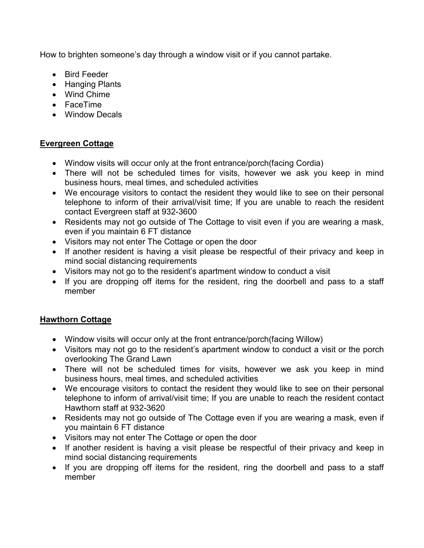How to brighten someone's day through a window visit or if you cannot partake.

- Bird Feeder
- Hanging Plants
- Wind Chime
- FaceTime
- Window Decals

## **Evergreen Cottage**

- Window visits will occur only at the front entrance/porch(facing Cordia)
- There will not be scheduled times for visits, however we ask you keep in mind business hours, meal times, and scheduled activities
- We encourage visitors to contact the resident they would like to see on their personal telephone to inform of their arrival/visit time; If you are unable to reach the resident contact Evergreen staff at 932-3600
- Residents may not go outside of The Cottage to visit even if you are wearing a mask, even if you maintain 6 FT distance
- Visitors may not enter The Cottage or open the door
- If another resident is having a visit please be respectful of their privacy and keep in mind social distancing requirements
- Visitors may not go to the resident's apartment window to conduct a visit
- If you are dropping off items for the resident, ring the doorbell and pass to a staff member

# **Hawthorn Cottage**

- Window visits will occur only at the front entrance/porch(facing Willow)
- Visitors may not go to the resident's apartment window to conduct a visit or the porch overlooking The Grand Lawn
- There will not be scheduled times for visits, however we ask you keep in mind business hours, meal times, and scheduled activities
- We encourage visitors to contact the resident they would like to see on their personal telephone to inform of arrival/visit time; If you are unable to reach the resident contact Hawthorn staff at 932-3620
- Residents may not go outside of The Cottage even if you are wearing a mask, even if you maintain 6 FT distance
- Visitors may not enter The Cottage or open the door
- If another resident is having a visit please be respectful of their privacy and keep in mind social distancing requirements
- If you are dropping off items for the resident, ring the doorbell and pass to a staff member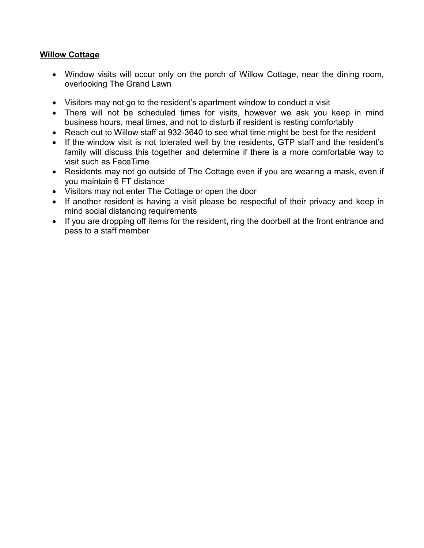### **Willow Cottage**

- Window visits will occur only on the porch of Willow Cottage, near the dining room, overlooking The Grand Lawn
- Visitors may not go to the resident's apartment window to conduct a visit
- There will not be scheduled times for visits, however we ask you keep in mind business hours, meal times, and not to disturb if resident is resting comfortably
- Reach out to Willow staff at 932-3640 to see what time might be best for the resident
- If the window visit is not tolerated well by the residents, GTP staff and the resident's family will discuss this together and determine if there is a more comfortable way to visit such as FaceTime
- Residents may not go outside of The Cottage even if you are wearing a mask, even if you maintain 6 FT distance
- Visitors may not enter The Cottage or open the door
- If another resident is having a visit please be respectful of their privacy and keep in mind social distancing requirements
- If you are dropping off items for the resident, ring the doorbell at the front entrance and pass to a staff member